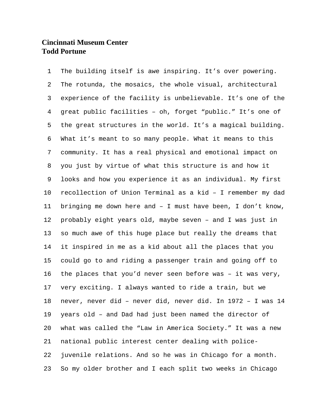The building itself is awe inspiring. It's over powering. The rotunda, the mosaics, the whole visual, architectural experience of the facility is unbelievable. It's one of the great public facilities – oh, forget "public." It's one of the great structures in the world. It's a magical building. What it's meant to so many people. What it means to this community. It has a real physical and emotional impact on you just by virtue of what this structure is and how it looks and how you experience it as an individual. My first recollection of Union Terminal as a kid – I remember my dad bringing me down here and – I must have been, I don't know, probably eight years old, maybe seven – and I was just in so much awe of this huge place but really the dreams that it inspired in me as a kid about all the places that you could go to and riding a passenger train and going off to the places that you'd never seen before was – it was very, very exciting. I always wanted to ride a train, but we never, never did – never did, never did. In 1972 – I was 14 years old – and Dad had just been named the director of what was called the "Law in America Society." It was a new national public interest center dealing with police- juvenile relations. And so he was in Chicago for a month. So my older brother and I each split two weeks in Chicago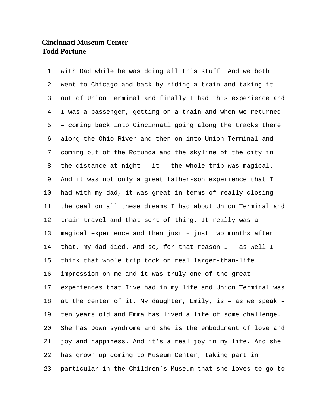with Dad while he was doing all this stuff. And we both went to Chicago and back by riding a train and taking it out of Union Terminal and finally I had this experience and I was a passenger, getting on a train and when we returned – coming back into Cincinnati going along the tracks there along the Ohio River and then on into Union Terminal and coming out of the Rotunda and the skyline of the city in the distance at night – it – the whole trip was magical. And it was not only a great father-son experience that I had with my dad, it was great in terms of really closing the deal on all these dreams I had about Union Terminal and train travel and that sort of thing. It really was a magical experience and then just – just two months after that, my dad died. And so, for that reason I – as well I think that whole trip took on real larger-than-life impression on me and it was truly one of the great experiences that I've had in my life and Union Terminal was at the center of it. My daughter, Emily, is – as we speak – ten years old and Emma has lived a life of some challenge. She has Down syndrome and she is the embodiment of love and joy and happiness. And it's a real joy in my life. And she has grown up coming to Museum Center, taking part in particular in the Children's Museum that she loves to go to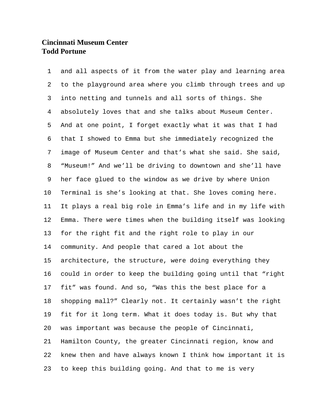and all aspects of it from the water play and learning area to the playground area where you climb through trees and up into netting and tunnels and all sorts of things. She absolutely loves that and she talks about Museum Center. And at one point, I forget exactly what it was that I had that I showed to Emma but she immediately recognized the image of Museum Center and that's what she said. She said, "Museum!" And we'll be driving to downtown and she'll have her face glued to the window as we drive by where Union Terminal is she's looking at that. She loves coming here. It plays a real big role in Emma's life and in my life with Emma. There were times when the building itself was looking for the right fit and the right role to play in our community. And people that cared a lot about the architecture, the structure, were doing everything they could in order to keep the building going until that "right fit" was found. And so, "Was this the best place for a shopping mall?" Clearly not. It certainly wasn't the right fit for it long term. What it does today is. But why that was important was because the people of Cincinnati, Hamilton County, the greater Cincinnati region, know and knew then and have always known I think how important it is to keep this building going. And that to me is very